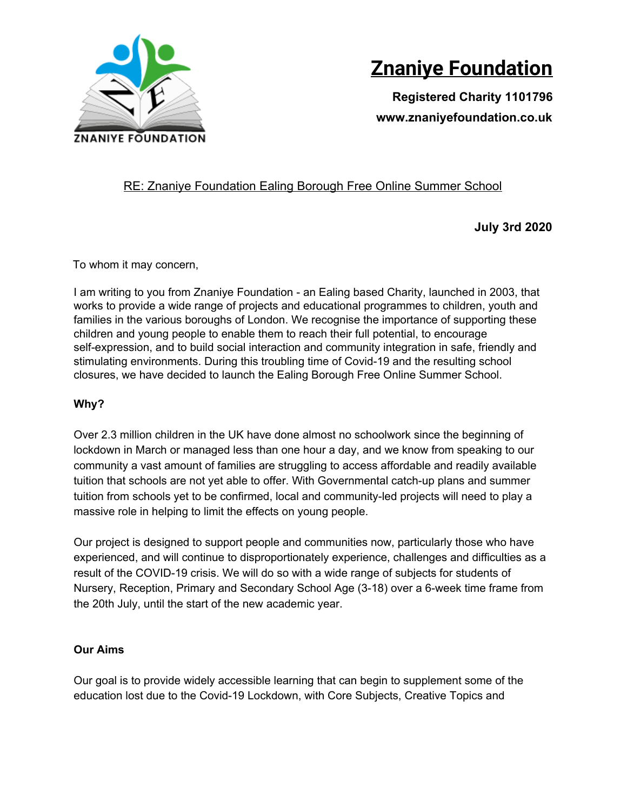

# **Znaniye Foundation**

**Registered Charity 1101796 www.znaniyefoundation.co.uk**

## RE: Znaniye Foundation Ealing Borough Free Online Summer School

**July 3rd 2020**

To whom it may concern,

I am writing to you from Znaniye Foundation - an Ealing based Charity, launched in 2003, that works to provide a wide range of projects and educational programmes to children, youth and families in the various boroughs of London. We recognise the importance of supporting these children and young people to enable them to reach their full potential, to encourage self-expression, and to build social interaction and community integration in safe, friendly and stimulating environments. During this troubling time of Covid-19 and the resulting school closures, we have decided to launch the Ealing Borough Free Online Summer School.

### **Why?**

Over 2.3 million children in the UK have done almost no schoolwork since the beginning of lockdown in March or managed less than one hour a day, and we know from speaking to our community a vast amount of families are struggling to access affordable and readily available tuition that schools are not yet able to offer. With Governmental catch-up plans and summer tuition from schools yet to be confirmed, local and community-led projects will need to play a massive role in helping to limit the effects on young people.

Our project is designed to support people and communities now, particularly those who have experienced, and will continue to disproportionately experience, challenges and difficulties as a result of the COVID-19 crisis. We will do so with a wide range of subjects for students of Nursery, Reception, Primary and Secondary School Age (3-18) over a 6-week time frame from the 20th July, until the start of the new academic year.

### **Our Aims**

Our goal is to provide widely accessible learning that can begin to supplement some of the education lost due to the Covid-19 Lockdown, with Core Subjects, Creative Topics and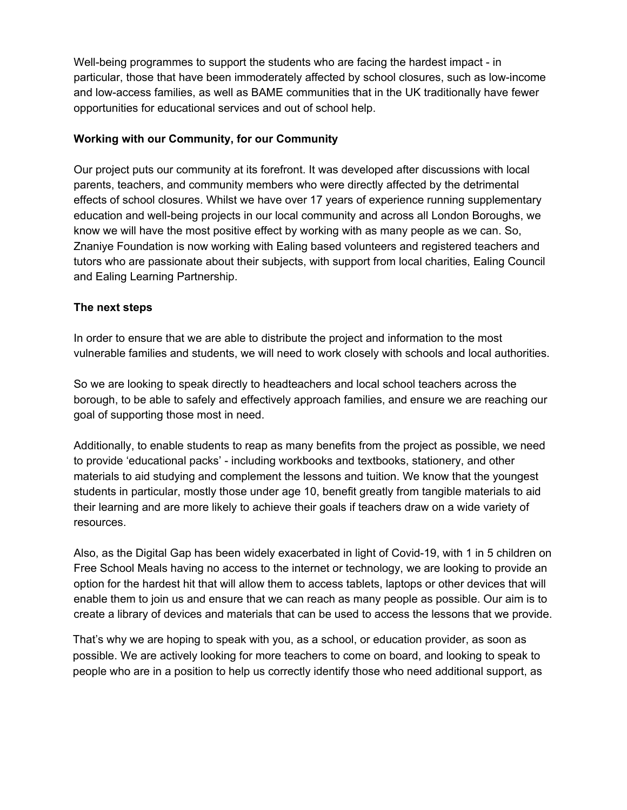Well-being programmes to support the students who are facing the hardest impact - in particular, those that have been immoderately affected by school closures, such as low-income and low-access families, as well as BAME communities that in the UK traditionally have fewer opportunities for educational services and out of school help.

#### **Working with our Community, for our Community**

Our project puts our community at its forefront. It was developed after discussions with local parents, teachers, and community members who were directly affected by the detrimental effects of school closures. Whilst we have over 17 years of experience running supplementary education and well-being projects in our local community and across all London Boroughs, we know we will have the most positive effect by working with as many people as we can. So, Znaniye Foundation is now working with Ealing based volunteers and registered teachers and tutors who are passionate about their subjects, with support from local charities, Ealing Council and Ealing Learning Partnership.

#### **The next steps**

In order to ensure that we are able to distribute the project and information to the most vulnerable families and students, we will need to work closely with schools and local authorities.

So we are looking to speak directly to headteachers and local school teachers across the borough, to be able to safely and effectively approach families, and ensure we are reaching our goal of supporting those most in need.

Additionally, to enable students to reap as many benefits from the project as possible, we need to provide 'educational packs' - including workbooks and textbooks, stationery, and other materials to aid studying and complement the lessons and tuition. We know that the youngest students in particular, mostly those under age 10, benefit greatly from tangible materials to aid their learning and are more likely to achieve their goals if teachers draw on a wide variety of resources.

Also, as the Digital Gap has been widely exacerbated in light of Covid-19, with 1 in 5 children on Free School Meals having no access to the internet or technology, we are looking to provide an option for the hardest hit that will allow them to access tablets, laptops or other devices that will enable them to join us and ensure that we can reach as many people as possible. Our aim is to create a library of devices and materials that can be used to access the lessons that we provide.

That's why we are hoping to speak with you, as a school, or education provider, as soon as possible. We are actively looking for more teachers to come on board, and looking to speak to people who are in a position to help us correctly identify those who need additional support, as